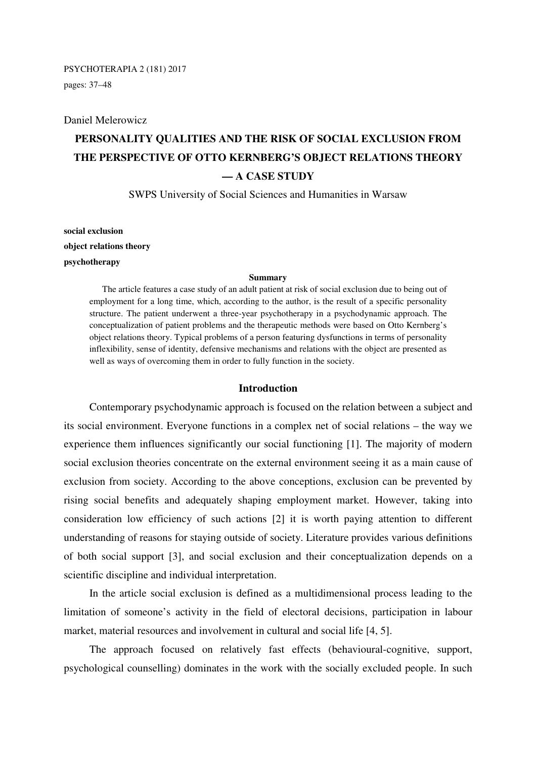### PSYCHOTERAPIA 2 (181) 2017

pages: 37–48

#### Daniel Melerowicz

# **PERSONALITY QUALITIES AND THE RISK OF SOCIAL EXCLUSION FROM THE PERSPECTIVE OF OTTO KERNBERG'S OBJECT RELATIONS THEORY — A CASE STUDY**

SWPS University of Social Sciences and Humanities in Warsaw

**social exclusion object relations theory psychotherapy** 

#### **Summary**

The article features a case study of an adult patient at risk of social exclusion due to being out of employment for a long time, which, according to the author, is the result of a specific personality structure. The patient underwent a three-year psychotherapy in a psychodynamic approach. The conceptualization of patient problems and the therapeutic methods were based on Otto Kernberg's object relations theory. Typical problems of a person featuring dysfunctions in terms of personality inflexibility, sense of identity, defensive mechanisms and relations with the object are presented as well as ways of overcoming them in order to fully function in the society.

## **Introduction**

Contemporary psychodynamic approach is focused on the relation between a subject and its social environment. Everyone functions in a complex net of social relations – the way we experience them influences significantly our social functioning [1]. The majority of modern social exclusion theories concentrate on the external environment seeing it as a main cause of exclusion from society. According to the above conceptions, exclusion can be prevented by rising social benefits and adequately shaping employment market. However, taking into consideration low efficiency of such actions [2] it is worth paying attention to different understanding of reasons for staying outside of society. Literature provides various definitions of both social support [3], and social exclusion and their conceptualization depends on a scientific discipline and individual interpretation.

In the article social exclusion is defined as a multidimensional process leading to the limitation of someone's activity in the field of electoral decisions, participation in labour market, material resources and involvement in cultural and social life [4, 5].

The approach focused on relatively fast effects (behavioural-cognitive, support, psychological counselling) dominates in the work with the socially excluded people. In such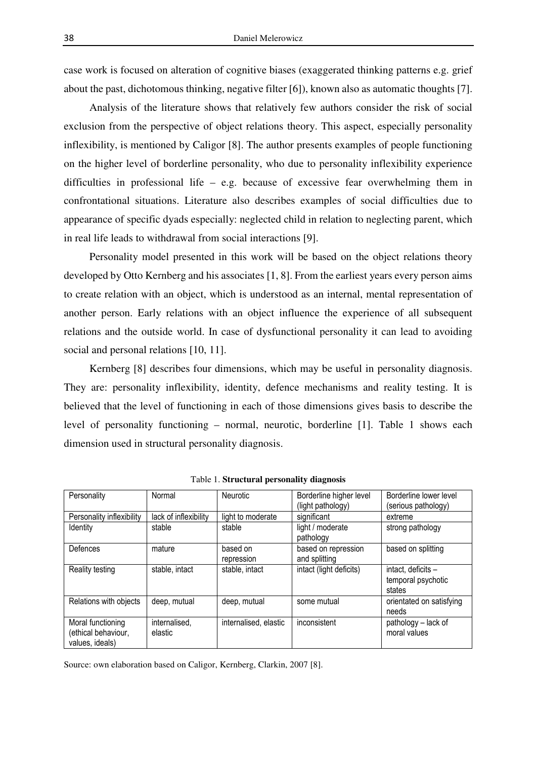case work is focused on alteration of cognitive biases (exaggerated thinking patterns e.g. grief about the past, dichotomous thinking, negative filter [6]), known also as automatic thoughts [7].

Analysis of the literature shows that relatively few authors consider the risk of social exclusion from the perspective of object relations theory. This aspect, especially personality inflexibility, is mentioned by Caligor [8]. The author presents examples of people functioning on the higher level of borderline personality, who due to personality inflexibility experience difficulties in professional life – e.g. because of excessive fear overwhelming them in confrontational situations. Literature also describes examples of social difficulties due to appearance of specific dyads especially: neglected child in relation to neglecting parent, which in real life leads to withdrawal from social interactions [9].

Personality model presented in this work will be based on the object relations theory developed by Otto Kernberg and his associates [1, 8]. From the earliest years every person aims to create relation with an object, which is understood as an internal, mental representation of another person. Early relations with an object influence the experience of all subsequent relations and the outside world. In case of dysfunctional personality it can lead to avoiding social and personal relations [10, 11].

Kernberg [8] describes four dimensions, which may be useful in personality diagnosis. They are: personality inflexibility, identity, defence mechanisms and reality testing. It is believed that the level of functioning in each of those dimensions gives basis to describe the level of personality functioning – normal, neurotic, borderline [1]. Table 1 shows each dimension used in structural personality diagnosis.

| Personality               | Normal                | Neurotic              | Borderline higher level | Borderline lower level   |
|---------------------------|-----------------------|-----------------------|-------------------------|--------------------------|
|                           |                       |                       | (light pathology)       | (serious pathology)      |
| Personality inflexibility | lack of inflexibility | light to moderate     | significant             | extreme                  |
| Identity                  | stable                | stable                | light / moderate        | strong pathology         |
|                           |                       |                       | pathology               |                          |
| Defences                  | mature                | based on              | based on repression     | based on splitting       |
|                           |                       | repression            | and splitting           |                          |
| Reality testing           | stable, intact        | stable, intact        | intact (light deficits) | intact, deficits -       |
|                           |                       |                       |                         | temporal psychotic       |
|                           |                       |                       |                         | states                   |
| Relations with objects    | deep, mutual          | deep, mutual          | some mutual             | orientated on satisfying |
|                           |                       |                       |                         | needs                    |
| Moral functioning         | internalised,         | internalised, elastic | inconsistent            | pathology - lack of      |
| (ethical behaviour,       | elastic               |                       |                         | moral values             |
| values, ideals)           |                       |                       |                         |                          |

Table 1. **Structural personality diagnosis** 

Source: own elaboration based on Caligor, Kernberg, Clarkin, 2007 [8].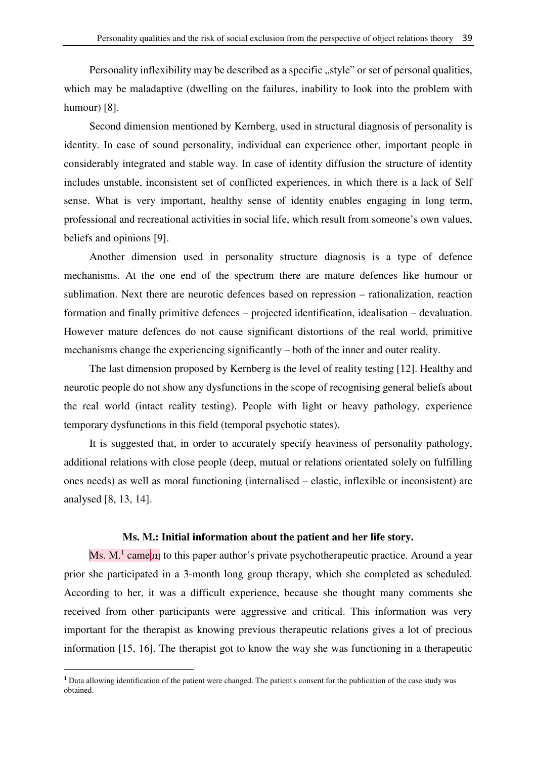Personality inflexibility may be described as a specific "style" or set of personal qualities, which may be maladaptive (dwelling on the failures, inability to look into the problem with humour) [8].

Second dimension mentioned by Kernberg, used in structural diagnosis of personality is identity. In case of sound personality, individual can experience other, important people in considerably integrated and stable way. In case of identity diffusion the structure of identity includes unstable, inconsistent set of conflicted experiences, in which there is a lack of Self sense. What is very important, healthy sense of identity enables engaging in long term, professional and recreational activities in social life, which result from someone's own values, beliefs and opinions [9].

Another dimension used in personality structure diagnosis is a type of defence mechanisms. At the one end of the spectrum there are mature defences like humour or sublimation. Next there are neurotic defences based on repression – rationalization, reaction formation and finally primitive defences – projected identification, idealisation – devaluation. However mature defences do not cause significant distortions of the real world, primitive mechanisms change the experiencing significantly – both of the inner and outer reality.

The last dimension proposed by Kernberg is the level of reality testing [12]. Healthy and neurotic people do not show any dysfunctions in the scope of recognising general beliefs about the real world (intact reality testing). People with light or heavy pathology, experience temporary dysfunctions in this field (temporal psychotic states).

It is suggested that, in order to accurately specify heaviness of personality pathology, additional relations with close people (deep, mutual or relations orientated solely on fulfilling ones needs) as well as moral functioning (internalised – elastic, inflexible or inconsistent) are analysed [8, 13, 14].

# **Ms. M.: Initial information about the patient and her life story.**

Ms. M.<sup>1</sup> came[11] to this paper author's private psychotherapeutic practice. Around a year prior she participated in a 3-month long group therapy, which she completed as scheduled. According to her, it was a difficult experience, because she thought many comments she received from other participants were aggressive and critical. This information was very important for the therapist as knowing previous therapeutic relations gives a lot of precious information [15, 16]. The therapist got to know the way she was functioning in a therapeutic

 $\overline{\phantom{0}}$ 

 $<sup>1</sup>$  Data allowing identification of the patient were changed. The patient's consent for the publication of the case study was</sup> obtained.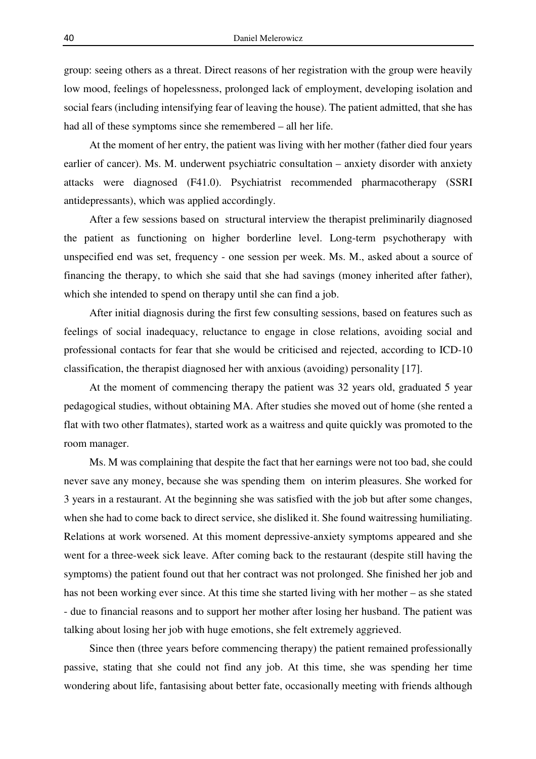group: seeing others as a threat. Direct reasons of her registration with the group were heavily low mood, feelings of hopelessness, prolonged lack of employment, developing isolation and social fears (including intensifying fear of leaving the house). The patient admitted, that she has had all of these symptoms since she remembered – all her life.

At the moment of her entry, the patient was living with her mother (father died four years earlier of cancer). Ms. M. underwent psychiatric consultation – anxiety disorder with anxiety attacks were diagnosed (F41.0). Psychiatrist recommended pharmacotherapy (SSRI antidepressants), which was applied accordingly.

After a few sessions based on structural interview the therapist preliminarily diagnosed the patient as functioning on higher borderline level. Long-term psychotherapy with unspecified end was set, frequency - one session per week. Ms. M., asked about a source of financing the therapy, to which she said that she had savings (money inherited after father), which she intended to spend on therapy until she can find a job.

After initial diagnosis during the first few consulting sessions, based on features such as feelings of social inadequacy, reluctance to engage in close relations, avoiding social and professional contacts for fear that she would be criticised and rejected, according to ICD-10 classification, the therapist diagnosed her with anxious (avoiding) personality [17].

At the moment of commencing therapy the patient was 32 years old, graduated 5 year pedagogical studies, without obtaining MA. After studies she moved out of home (she rented a flat with two other flatmates), started work as a waitress and quite quickly was promoted to the room manager.

Ms. M was complaining that despite the fact that her earnings were not too bad, she could never save any money, because she was spending them on interim pleasures. She worked for 3 years in a restaurant. At the beginning she was satisfied with the job but after some changes, when she had to come back to direct service, she disliked it. She found waitressing humiliating. Relations at work worsened. At this moment depressive-anxiety symptoms appeared and she went for a three-week sick leave. After coming back to the restaurant (despite still having the symptoms) the patient found out that her contract was not prolonged. She finished her job and has not been working ever since. At this time she started living with her mother – as she stated - due to financial reasons and to support her mother after losing her husband. The patient was talking about losing her job with huge emotions, she felt extremely aggrieved.

Since then (three years before commencing therapy) the patient remained professionally passive, stating that she could not find any job. At this time, she was spending her time wondering about life, fantasising about better fate, occasionally meeting with friends although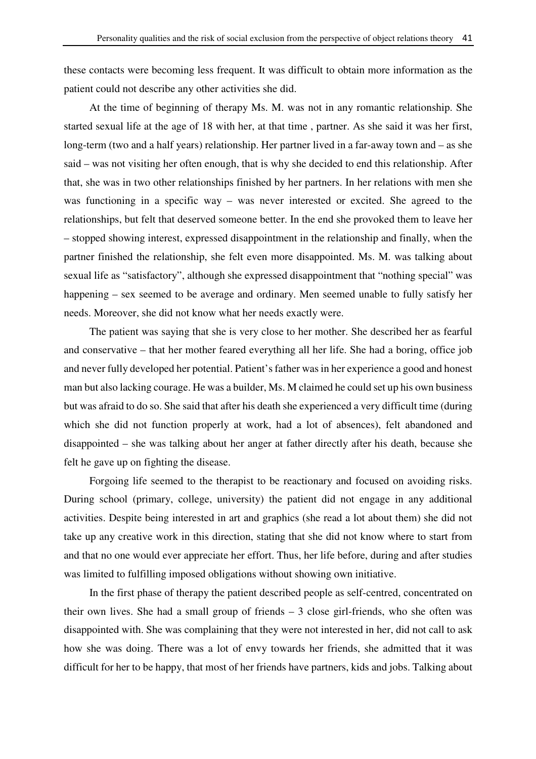these contacts were becoming less frequent. It was difficult to obtain more information as the patient could not describe any other activities she did.

At the time of beginning of therapy Ms. M. was not in any romantic relationship. She started sexual life at the age of 18 with her, at that time , partner. As she said it was her first, long-term (two and a half years) relationship. Her partner lived in a far-away town and – as she said – was not visiting her often enough, that is why she decided to end this relationship. After that, she was in two other relationships finished by her partners. In her relations with men she was functioning in a specific way – was never interested or excited. She agreed to the relationships, but felt that deserved someone better. In the end she provoked them to leave her – stopped showing interest, expressed disappointment in the relationship and finally, when the partner finished the relationship, she felt even more disappointed. Ms. M. was talking about sexual life as "satisfactory", although she expressed disappointment that "nothing special" was happening – sex seemed to be average and ordinary. Men seemed unable to fully satisfy her needs. Moreover, she did not know what her needs exactly were.

The patient was saying that she is very close to her mother. She described her as fearful and conservative – that her mother feared everything all her life. She had a boring, office job and never fully developed her potential. Patient's father was in her experience a good and honest man but also lacking courage. He was a builder, Ms. M claimed he could set up his own business but was afraid to do so. She said that after his death she experienced a very difficult time (during which she did not function properly at work, had a lot of absences), felt abandoned and disappointed – she was talking about her anger at father directly after his death, because she felt he gave up on fighting the disease.

Forgoing life seemed to the therapist to be reactionary and focused on avoiding risks. During school (primary, college, university) the patient did not engage in any additional activities. Despite being interested in art and graphics (she read a lot about them) she did not take up any creative work in this direction, stating that she did not know where to start from and that no one would ever appreciate her effort. Thus, her life before, during and after studies was limited to fulfilling imposed obligations without showing own initiative.

In the first phase of therapy the patient described people as self-centred, concentrated on their own lives. She had a small group of friends – 3 close girl-friends, who she often was disappointed with. She was complaining that they were not interested in her, did not call to ask how she was doing. There was a lot of envy towards her friends, she admitted that it was difficult for her to be happy, that most of her friends have partners, kids and jobs. Talking about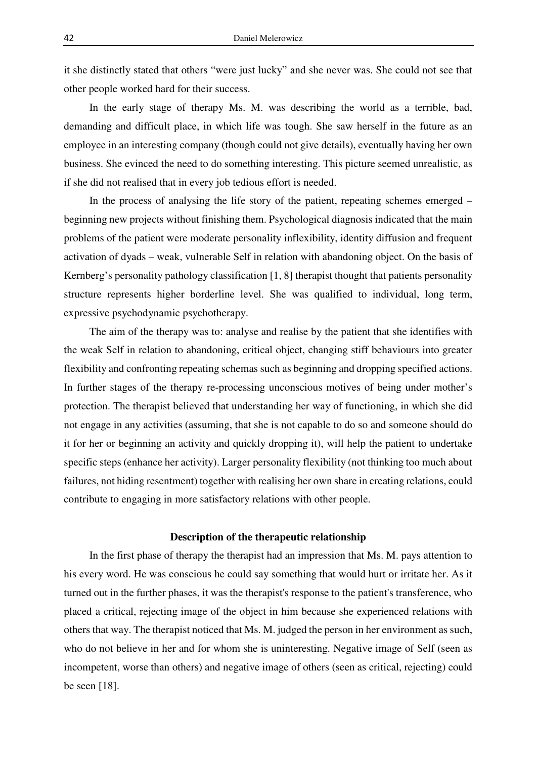it she distinctly stated that others "were just lucky" and she never was. She could not see that other people worked hard for their success.

In the early stage of therapy Ms. M. was describing the world as a terrible, bad, demanding and difficult place, in which life was tough. She saw herself in the future as an employee in an interesting company (though could not give details), eventually having her own business. She evinced the need to do something interesting. This picture seemed unrealistic, as if she did not realised that in every job tedious effort is needed.

In the process of analysing the life story of the patient, repeating schemes emerged – beginning new projects without finishing them. Psychological diagnosis indicated that the main problems of the patient were moderate personality inflexibility, identity diffusion and frequent activation of dyads – weak, vulnerable Self in relation with abandoning object. On the basis of Kernberg's personality pathology classification [1, 8] therapist thought that patients personality structure represents higher borderline level. She was qualified to individual, long term, expressive psychodynamic psychotherapy.

The aim of the therapy was to: analyse and realise by the patient that she identifies with the weak Self in relation to abandoning, critical object, changing stiff behaviours into greater flexibility and confronting repeating schemas such as beginning and dropping specified actions. In further stages of the therapy re-processing unconscious motives of being under mother's protection. The therapist believed that understanding her way of functioning, in which she did not engage in any activities (assuming, that she is not capable to do so and someone should do it for her or beginning an activity and quickly dropping it), will help the patient to undertake specific steps (enhance her activity). Larger personality flexibility (not thinking too much about failures, not hiding resentment) together with realising her own share in creating relations, could contribute to engaging in more satisfactory relations with other people.

# **Description of the therapeutic relationship**

In the first phase of therapy the therapist had an impression that Ms. M. pays attention to his every word. He was conscious he could say something that would hurt or irritate her. As it turned out in the further phases, it was the therapist's response to the patient's transference, who placed a critical, rejecting image of the object in him because she experienced relations with others that way. The therapist noticed that Ms. M. judged the person in her environment as such, who do not believe in her and for whom she is uninteresting. Negative image of Self (seen as incompetent, worse than others) and negative image of others (seen as critical, rejecting) could be seen [18].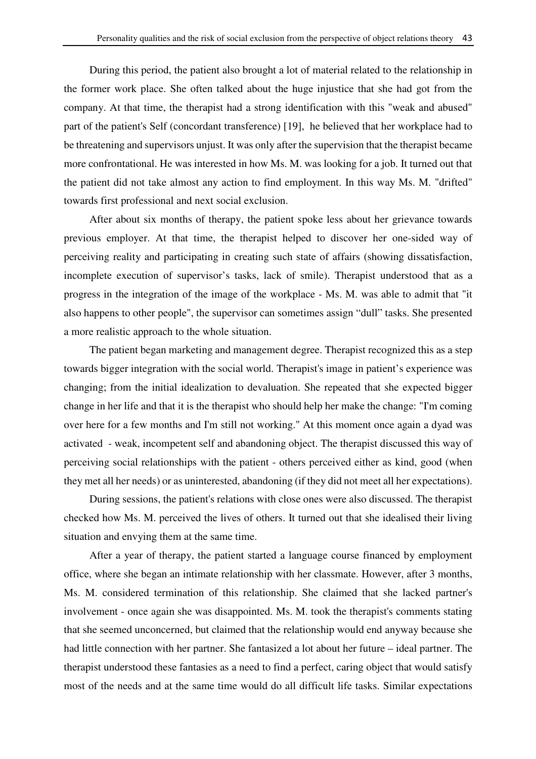During this period, the patient also brought a lot of material related to the relationship in the former work place. She often talked about the huge injustice that she had got from the company. At that time, the therapist had a strong identification with this "weak and abused" part of the patient's Self (concordant transference) [19], he believed that her workplace had to be threatening and supervisors unjust. It was only after the supervision that the therapist became more confrontational. He was interested in how Ms. M. was looking for a job. It turned out that the patient did not take almost any action to find employment. In this way Ms. M. "drifted" towards first professional and next social exclusion.

After about six months of therapy, the patient spoke less about her grievance towards previous employer. At that time, the therapist helped to discover her one-sided way of perceiving reality and participating in creating such state of affairs (showing dissatisfaction, incomplete execution of supervisor's tasks, lack of smile). Therapist understood that as a progress in the integration of the image of the workplace - Ms. M. was able to admit that "it also happens to other people", the supervisor can sometimes assign "dull" tasks. She presented a more realistic approach to the whole situation.

The patient began marketing and management degree. Therapist recognized this as a step towards bigger integration with the social world. Therapist's image in patient's experience was changing; from the initial idealization to devaluation. She repeated that she expected bigger change in her life and that it is the therapist who should help her make the change: "I'm coming over here for a few months and I'm still not working." At this moment once again a dyad was activated - weak, incompetent self and abandoning object. The therapist discussed this way of perceiving social relationships with the patient - others perceived either as kind, good (when they met all her needs) or as uninterested, abandoning (if they did not meet all her expectations).

During sessions, the patient's relations with close ones were also discussed. The therapist checked how Ms. M. perceived the lives of others. It turned out that she idealised their living situation and envying them at the same time.

After a year of therapy, the patient started a language course financed by employment office, where she began an intimate relationship with her classmate. However, after 3 months, Ms. M. considered termination of this relationship. She claimed that she lacked partner's involvement - once again she was disappointed. Ms. M. took the therapist's comments stating that she seemed unconcerned, but claimed that the relationship would end anyway because she had little connection with her partner. She fantasized a lot about her future – ideal partner. The therapist understood these fantasies as a need to find a perfect, caring object that would satisfy most of the needs and at the same time would do all difficult life tasks. Similar expectations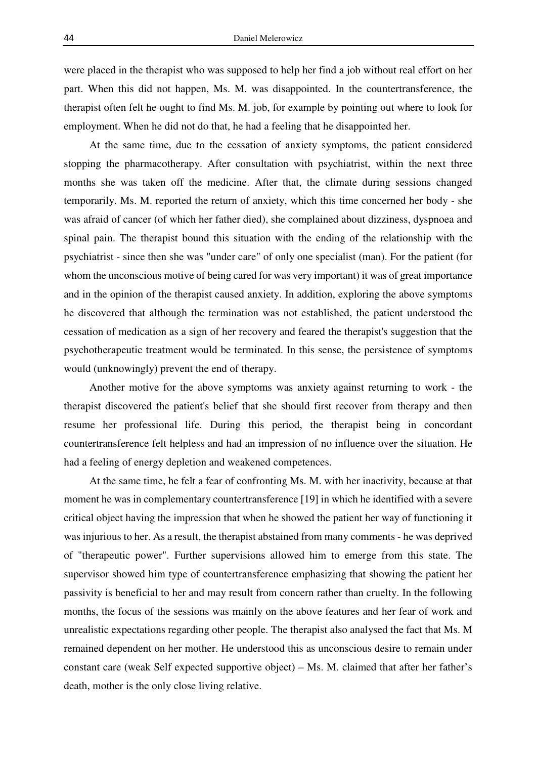were placed in the therapist who was supposed to help her find a job without real effort on her part. When this did not happen, Ms. M. was disappointed. In the countertransference, the therapist often felt he ought to find Ms. M. job, for example by pointing out where to look for employment. When he did not do that, he had a feeling that he disappointed her.

At the same time, due to the cessation of anxiety symptoms, the patient considered stopping the pharmacotherapy. After consultation with psychiatrist, within the next three months she was taken off the medicine. After that, the climate during sessions changed temporarily. Ms. M. reported the return of anxiety, which this time concerned her body - she was afraid of cancer (of which her father died), she complained about dizziness, dyspnoea and spinal pain. The therapist bound this situation with the ending of the relationship with the psychiatrist - since then she was "under care" of only one specialist (man). For the patient (for whom the unconscious motive of being cared for was very important) it was of great importance and in the opinion of the therapist caused anxiety. In addition, exploring the above symptoms he discovered that although the termination was not established, the patient understood the cessation of medication as a sign of her recovery and feared the therapist's suggestion that the psychotherapeutic treatment would be terminated. In this sense, the persistence of symptoms would (unknowingly) prevent the end of therapy.

Another motive for the above symptoms was anxiety against returning to work - the therapist discovered the patient's belief that she should first recover from therapy and then resume her professional life. During this period, the therapist being in concordant countertransference felt helpless and had an impression of no influence over the situation. He had a feeling of energy depletion and weakened competences.

At the same time, he felt a fear of confronting Ms. M. with her inactivity, because at that moment he was in complementary countertransference [19] in which he identified with a severe critical object having the impression that when he showed the patient her way of functioning it was injurious to her. As a result, the therapist abstained from many comments - he was deprived of "therapeutic power". Further supervisions allowed him to emerge from this state. The supervisor showed him type of countertransference emphasizing that showing the patient her passivity is beneficial to her and may result from concern rather than cruelty. In the following months, the focus of the sessions was mainly on the above features and her fear of work and unrealistic expectations regarding other people. The therapist also analysed the fact that Ms. M remained dependent on her mother. He understood this as unconscious desire to remain under constant care (weak Self expected supportive object) – Ms. M. claimed that after her father's death, mother is the only close living relative.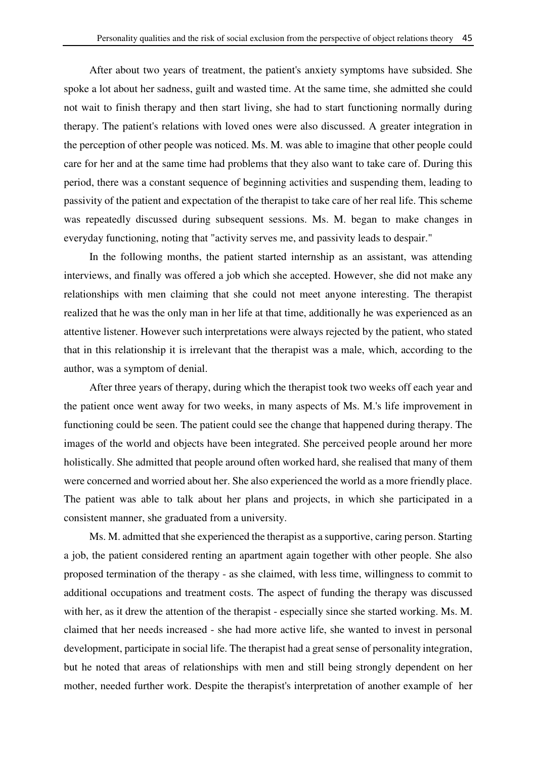After about two years of treatment, the patient's anxiety symptoms have subsided. She spoke a lot about her sadness, guilt and wasted time. At the same time, she admitted she could not wait to finish therapy and then start living, she had to start functioning normally during therapy. The patient's relations with loved ones were also discussed. A greater integration in the perception of other people was noticed. Ms. M. was able to imagine that other people could care for her and at the same time had problems that they also want to take care of. During this period, there was a constant sequence of beginning activities and suspending them, leading to passivity of the patient and expectation of the therapist to take care of her real life. This scheme was repeatedly discussed during subsequent sessions. Ms. M. began to make changes in everyday functioning, noting that "activity serves me, and passivity leads to despair."

In the following months, the patient started internship as an assistant, was attending interviews, and finally was offered a job which she accepted. However, she did not make any relationships with men claiming that she could not meet anyone interesting. The therapist realized that he was the only man in her life at that time, additionally he was experienced as an attentive listener. However such interpretations were always rejected by the patient, who stated that in this relationship it is irrelevant that the therapist was a male, which, according to the author, was a symptom of denial.

After three years of therapy, during which the therapist took two weeks off each year and the patient once went away for two weeks, in many aspects of Ms. M.'s life improvement in functioning could be seen. The patient could see the change that happened during therapy. The images of the world and objects have been integrated. She perceived people around her more holistically. She admitted that people around often worked hard, she realised that many of them were concerned and worried about her. She also experienced the world as a more friendly place. The patient was able to talk about her plans and projects, in which she participated in a consistent manner, she graduated from a university.

Ms. M. admitted that she experienced the therapist as a supportive, caring person. Starting a job, the patient considered renting an apartment again together with other people. She also proposed termination of the therapy - as she claimed, with less time, willingness to commit to additional occupations and treatment costs. The aspect of funding the therapy was discussed with her, as it drew the attention of the therapist - especially since she started working. Ms. M. claimed that her needs increased - she had more active life, she wanted to invest in personal development, participate in social life. The therapist had a great sense of personality integration, but he noted that areas of relationships with men and still being strongly dependent on her mother, needed further work. Despite the therapist's interpretation of another example of her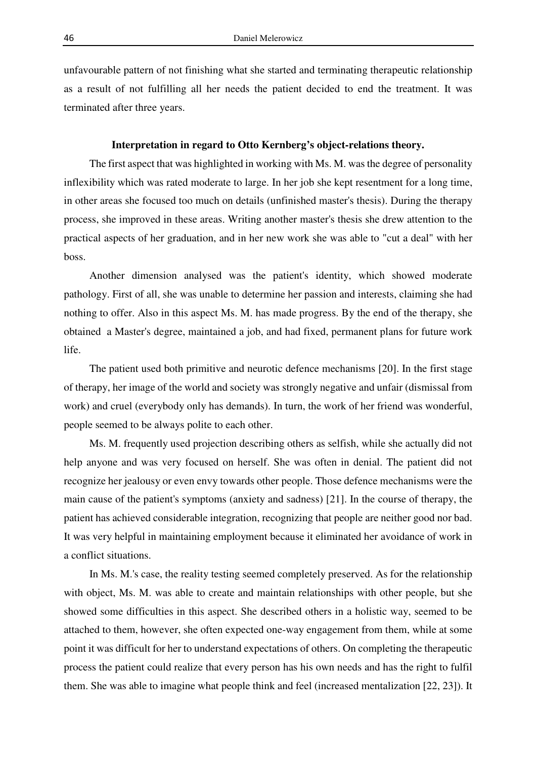unfavourable pattern of not finishing what she started and terminating therapeutic relationship as a result of not fulfilling all her needs the patient decided to end the treatment. It was terminated after three years.

### **Interpretation in regard to Otto Kernberg's object-relations theory.**

The first aspect that was highlighted in working with Ms. M. was the degree of personality inflexibility which was rated moderate to large. In her job she kept resentment for a long time, in other areas she focused too much on details (unfinished master's thesis). During the therapy process, she improved in these areas. Writing another master's thesis she drew attention to the practical aspects of her graduation, and in her new work she was able to "cut a deal" with her boss.

Another dimension analysed was the patient's identity, which showed moderate pathology. First of all, she was unable to determine her passion and interests, claiming she had nothing to offer. Also in this aspect Ms. M. has made progress. By the end of the therapy, she obtained a Master's degree, maintained a job, and had fixed, permanent plans for future work life.

The patient used both primitive and neurotic defence mechanisms [20]. In the first stage of therapy, her image of the world and society was strongly negative and unfair (dismissal from work) and cruel (everybody only has demands). In turn, the work of her friend was wonderful, people seemed to be always polite to each other.

Ms. M. frequently used projection describing others as selfish, while she actually did not help anyone and was very focused on herself. She was often in denial. The patient did not recognize her jealousy or even envy towards other people. Those defence mechanisms were the main cause of the patient's symptoms (anxiety and sadness) [21]. In the course of therapy, the patient has achieved considerable integration, recognizing that people are neither good nor bad. It was very helpful in maintaining employment because it eliminated her avoidance of work in a conflict situations.

In Ms. M.'s case, the reality testing seemed completely preserved. As for the relationship with object, Ms. M. was able to create and maintain relationships with other people, but she showed some difficulties in this aspect. She described others in a holistic way, seemed to be attached to them, however, she often expected one-way engagement from them, while at some point it was difficult for her to understand expectations of others. On completing the therapeutic process the patient could realize that every person has his own needs and has the right to fulfil them. She was able to imagine what people think and feel (increased mentalization [22, 23]). It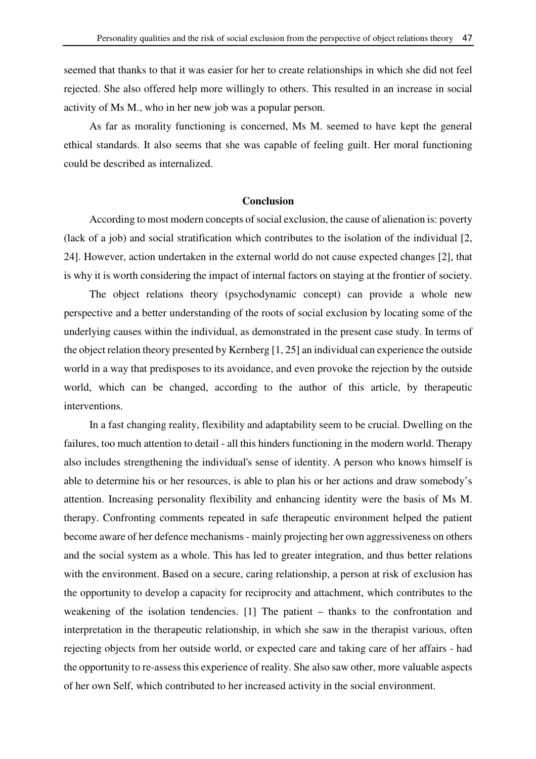seemed that thanks to that it was easier for her to create relationships in which she did not feel rejected. She also offered help more willingly to others. This resulted in an increase in social activity of Ms M., who in her new job was a popular person.

As far as morality functioning is concerned, Ms M. seemed to have kept the general ethical standards. It also seems that she was capable of feeling guilt. Her moral functioning could be described as internalized.

#### **Conclusion**

According to most modern concepts of social exclusion, the cause of alienation is: poverty (lack of a job) and social stratification which contributes to the isolation of the individual [2, 24]. However, action undertaken in the external world do not cause expected changes [2], that is why it is worth considering the impact of internal factors on staying at the frontier of society.

The object relations theory (psychodynamic concept) can provide a whole new perspective and a better understanding of the roots of social exclusion by locating some of the underlying causes within the individual, as demonstrated in the present case study. In terms of the object relation theory presented by Kernberg [1, 25] an individual can experience the outside world in a way that predisposes to its avoidance, and even provoke the rejection by the outside world, which can be changed, according to the author of this article, by therapeutic interventions.

In a fast changing reality, flexibility and adaptability seem to be crucial. Dwelling on the failures, too much attention to detail - all this hinders functioning in the modern world. Therapy also includes strengthening the individual's sense of identity. A person who knows himself is able to determine his or her resources, is able to plan his or her actions and draw somebody's attention. Increasing personality flexibility and enhancing identity were the basis of Ms M. therapy. Confronting comments repeated in safe therapeutic environment helped the patient become aware of her defence mechanisms - mainly projecting her own aggressiveness on others and the social system as a whole. This has led to greater integration, and thus better relations with the environment. Based on a secure, caring relationship, a person at risk of exclusion has the opportunity to develop a capacity for reciprocity and attachment, which contributes to the weakening of the isolation tendencies. [1] The patient – thanks to the confrontation and interpretation in the therapeutic relationship, in which she saw in the therapist various, often rejecting objects from her outside world, or expected care and taking care of her affairs - had the opportunity to re-assess this experience of reality. She also saw other, more valuable aspects of her own Self, which contributed to her increased activity in the social environment.